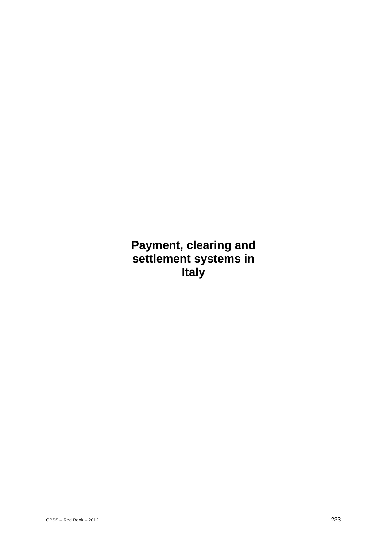# **Payment, clearing and settlement systems in Italy**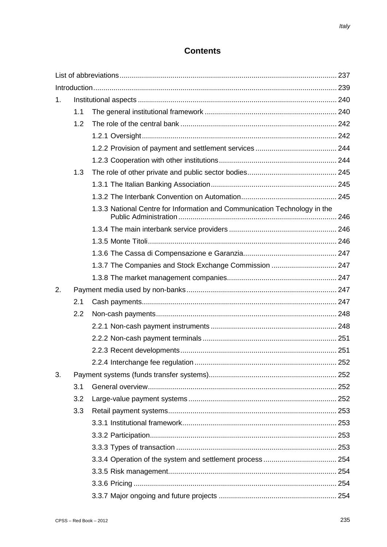# **Contents**

| 1. |     |                                                                           |  |  |
|----|-----|---------------------------------------------------------------------------|--|--|
|    | 1.1 |                                                                           |  |  |
|    | 1.2 |                                                                           |  |  |
|    |     |                                                                           |  |  |
|    |     |                                                                           |  |  |
|    |     |                                                                           |  |  |
|    | 1.3 |                                                                           |  |  |
|    |     |                                                                           |  |  |
|    |     |                                                                           |  |  |
|    |     | 1.3.3 National Centre for Information and Communication Technology in the |  |  |
|    |     |                                                                           |  |  |
|    |     |                                                                           |  |  |
|    |     |                                                                           |  |  |
|    |     | 1.3.7 The Companies and Stock Exchange Commission  247                    |  |  |
|    |     |                                                                           |  |  |
| 2. |     |                                                                           |  |  |
|    | 2.1 |                                                                           |  |  |
|    | 2.2 |                                                                           |  |  |
|    |     |                                                                           |  |  |
|    |     |                                                                           |  |  |
|    |     |                                                                           |  |  |
|    |     |                                                                           |  |  |
| 3. |     |                                                                           |  |  |
|    | 3.1 |                                                                           |  |  |
|    | 3.2 |                                                                           |  |  |
|    | 3.3 |                                                                           |  |  |
|    |     |                                                                           |  |  |
|    |     |                                                                           |  |  |
|    |     |                                                                           |  |  |
|    |     |                                                                           |  |  |
|    |     |                                                                           |  |  |
|    |     |                                                                           |  |  |
|    |     |                                                                           |  |  |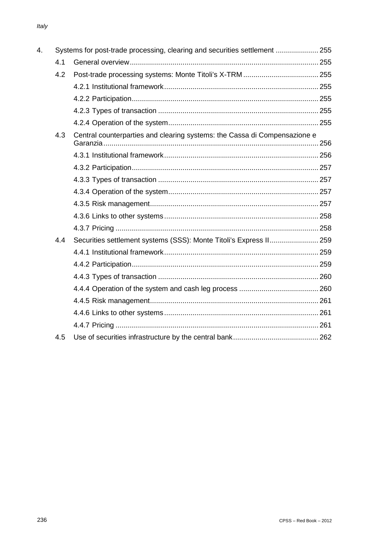| 4. |     | Systems for post-trade processing, clearing and securities settlement  255 |  |  |
|----|-----|----------------------------------------------------------------------------|--|--|
|    | 4.1 |                                                                            |  |  |
|    | 4.2 |                                                                            |  |  |
|    |     |                                                                            |  |  |
|    |     |                                                                            |  |  |
|    |     |                                                                            |  |  |
|    |     |                                                                            |  |  |
|    | 4.3 | Central counterparties and clearing systems: the Cassa di Compensazione e  |  |  |
|    |     |                                                                            |  |  |
|    |     |                                                                            |  |  |
|    |     |                                                                            |  |  |
|    |     |                                                                            |  |  |
|    |     |                                                                            |  |  |
|    |     |                                                                            |  |  |
|    |     |                                                                            |  |  |
|    | 4.4 | Securities settlement systems (SSS): Monte Titoli's Express II 259         |  |  |
|    |     |                                                                            |  |  |
|    |     |                                                                            |  |  |
|    |     |                                                                            |  |  |
|    |     |                                                                            |  |  |
|    |     |                                                                            |  |  |
|    |     |                                                                            |  |  |
|    |     |                                                                            |  |  |
|    | 4.5 |                                                                            |  |  |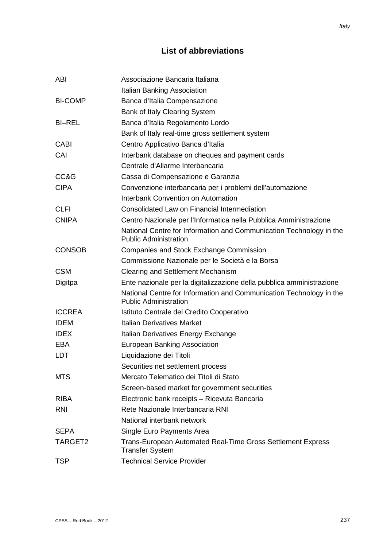# **List of abbreviations**

| ABI            | Associazione Bancaria Italiana                                                                      |
|----------------|-----------------------------------------------------------------------------------------------------|
|                | <b>Italian Banking Association</b>                                                                  |
| <b>BI-COMP</b> | Banca d'Italia Compensazione                                                                        |
|                | Bank of Italy Clearing System                                                                       |
| <b>BI-REL</b>  | Banca d'Italia Regolamento Lordo                                                                    |
|                | Bank of Italy real-time gross settlement system                                                     |
| <b>CABI</b>    | Centro Applicativo Banca d'Italia                                                                   |
| CAI            | Interbank database on cheques and payment cards                                                     |
|                | Centrale d'Allarme Interbancaria                                                                    |
| CC&G           | Cassa di Compensazione e Garanzia                                                                   |
| <b>CIPA</b>    | Convenzione interbancaria per i problemi dell'automazione                                           |
|                | Interbank Convention on Automation                                                                  |
| <b>CLFI</b>    | Consolidated Law on Financial Intermediation                                                        |
| <b>CNIPA</b>   | Centro Nazionale per l'Informatica nella Pubblica Amministrazione                                   |
|                | National Centre for Information and Communication Technology in the<br><b>Public Administration</b> |
| <b>CONSOB</b>  | <b>Companies and Stock Exchange Commission</b>                                                      |
|                | Commissione Nazionale per le Società e la Borsa                                                     |
| <b>CSM</b>     | Clearing and Settlement Mechanism                                                                   |
| Digitpa        | Ente nazionale per la digitalizzazione della pubblica amministrazione                               |
|                | National Centre for Information and Communication Technology in the<br><b>Public Administration</b> |
| <b>ICCREA</b>  | Istituto Centrale del Credito Cooperativo                                                           |
| <b>IDEM</b>    | <b>Italian Derivatives Market</b>                                                                   |
| <b>IDEX</b>    | Italian Derivatives Energy Exchange                                                                 |
| <b>EBA</b>     | <b>European Banking Association</b>                                                                 |
| <b>LDT</b>     | Liquidazione dei Titoli                                                                             |
|                | Securities net settlement process                                                                   |
| <b>MTS</b>     | Mercato Telematico dei Titoli di Stato                                                              |
|                | Screen-based market for government securities                                                       |
| <b>RIBA</b>    | Electronic bank receipts - Ricevuta Bancaria                                                        |
| <b>RNI</b>     | Rete Nazionale Interbancaria RNI                                                                    |
|                | National interbank network                                                                          |
| <b>SEPA</b>    | Single Euro Payments Area                                                                           |
| TARGET2        | Trans-European Automated Real-Time Gross Settlement Express<br><b>Transfer System</b>               |
| <b>TSP</b>     | <b>Technical Service Provider</b>                                                                   |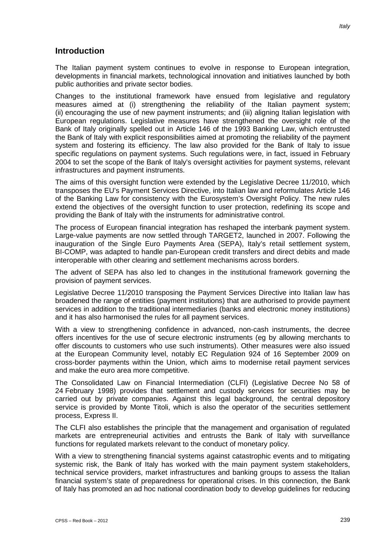### **Introduction**

The Italian payment system continues to evolve in response to European integration, developments in financial markets, technological innovation and initiatives launched by both public authorities and private sector bodies.

Changes to the institutional framework have ensued from legislative and regulatory measures aimed at (i) strengthening the reliability of the Italian payment system; (ii) encouraging the use of new payment instruments; and (iii) aligning Italian legislation with European regulations. Legislative measures have strengthened the oversight role of the Bank of Italy originally spelled out in Article 146 of the 1993 Banking Law, which entrusted the Bank of Italy with explicit responsibilities aimed at promoting the reliability of the payment system and fostering its efficiency. The law also provided for the Bank of Italy to issue specific regulations on payment systems. Such regulations were, in fact, issued in February 2004 to set the scope of the Bank of Italy's oversight activities for payment systems, relevant infrastructures and payment instruments.

The aims of this oversight function were extended by the Legislative Decree 11/2010, which transposes the EU's Payment Services Directive, into Italian law and reformulates Article 146 of the Banking Law for consistency with the Eurosystem's Oversight Policy. The new rules extend the objectives of the oversight function to user protection, redefining its scope and providing the Bank of Italy with the instruments for administrative control.

The process of European financial integration has reshaped the interbank payment system. Large-value payments are now settled through TARGET2, launched in 2007. Following the inauguration of the Single Euro Payments Area (SEPA), Italy's retail settlement system, BI-COMP, was adapted to handle pan-European credit transfers and direct debits and made interoperable with other clearing and settlement mechanisms across borders.

The advent of SEPA has also led to changes in the institutional framework governing the provision of payment services.

Legislative Decree 11/2010 transposing the Payment Services Directive into Italian law has broadened the range of entities (payment institutions) that are authorised to provide payment services in addition to the traditional intermediaries (banks and electronic money institutions) and it has also harmonised the rules for all payment services.

With a view to strengthening confidence in advanced, non-cash instruments, the decree offers incentives for the use of secure electronic instruments (eg by allowing merchants to offer discounts to customers who use such instruments). Other measures were also issued at the European Community level, notably EC Regulation 924 of 16 September 2009 on cross-border payments within the Union, which aims to modernise retail payment services and make the euro area more competitive.

The Consolidated Law on Financial Intermediation (CLFI) (Legislative Decree No 58 of 24 February 1998) provides that settlement and custody services for securities may be carried out by private companies. Against this legal background, the central depository service is provided by Monte Titoli, which is also the operator of the securities settlement process, Express II.

The CLFI also establishes the principle that the management and organisation of regulated markets are entrepreneurial activities and entrusts the Bank of Italy with surveillance functions for regulated markets relevant to the conduct of monetary policy.

With a view to strengthening financial systems against catastrophic events and to mitigating systemic risk, the Bank of Italy has worked with the main payment system stakeholders, technical service providers, market infrastructures and banking groups to assess the Italian financial system's state of preparedness for operational crises. In this connection, the Bank of Italy has promoted an ad hoc national coordination body to develop guidelines for reducing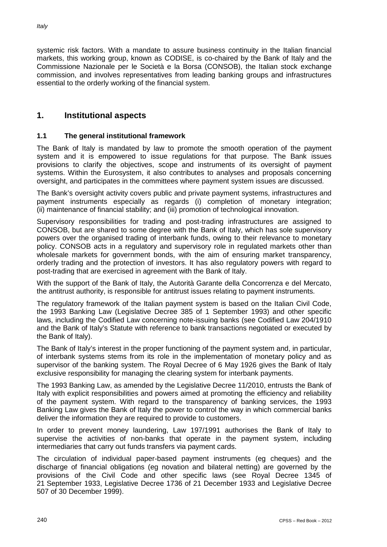systemic risk factors. With a mandate to assure business continuity in the Italian financial markets, this working group, known as CODISE, is co-chaired by the Bank of Italy and the Commissione Nazionale per le Società e la Borsa (CONSOB), the Italian stock exchange commission, and involves representatives from leading banking groups and infrastructures essential to the orderly working of the financial system.

# **1. Institutional aspects**

### **1.1 The general institutional framework**

The Bank of Italy is mandated by law to promote the smooth operation of the payment system and it is empowered to issue regulations for that purpose. The Bank issues provisions to clarify the objectives, scope and instruments of its oversight of payment systems. Within the Eurosystem, it also contributes to analyses and proposals concerning oversight, and participates in the committees where payment system issues are discussed.

The Bank's oversight activity covers public and private payment systems, infrastructures and payment instruments especially as regards (i) completion of monetary integration; (ii) maintenance of financial stability; and (iii) promotion of technological innovation.

Supervisory responsibilities for trading and post-trading infrastructures are assigned to CONSOB, but are shared to some degree with the Bank of Italy, which has sole supervisory powers over the organised trading of interbank funds, owing to their relevance to monetary policy. CONSOB acts in a regulatory and supervisory role in regulated markets other than wholesale markets for government bonds, with the aim of ensuring market transparency, orderly trading and the protection of investors. It has also regulatory powers with regard to post-trading that are exercised in agreement with the Bank of Italy.

With the support of the Bank of Italy, the Autorità Garante della Concorrenza e del Mercato, the antitrust authority, is responsible for antitrust issues relating to payment instruments.

The regulatory framework of the Italian payment system is based on the Italian Civil Code, the 1993 Banking Law (Legislative Decree 385 of 1 September 1993) and other specific laws, including the Codified Law concerning note-issuing banks (see Codified Law 204/1910 and the Bank of Italy's Statute with reference to bank transactions negotiated or executed by the Bank of Italy).

The Bank of Italy's interest in the proper functioning of the payment system and, in particular, of interbank systems stems from its role in the implementation of monetary policy and as supervisor of the banking system. The Royal Decree of 6 May 1926 gives the Bank of Italy exclusive responsibility for managing the clearing system for interbank payments.

The 1993 Banking Law, as amended by the Legislative Decree 11/2010, entrusts the Bank of Italy with explicit responsibilities and powers aimed at promoting the efficiency and reliability of the payment system. With regard to the transparency of banking services, the 1993 Banking Law gives the Bank of Italy the power to control the way in which commercial banks deliver the information they are required to provide to customers.

In order to prevent money laundering, Law 197/1991 authorises the Bank of Italy to supervise the activities of non-banks that operate in the payment system, including intermediaries that carry out funds transfers via payment cards.

The circulation of individual paper-based payment instruments (eg cheques) and the discharge of financial obligations (eg novation and bilateral netting) are governed by the provisions of the Civil Code and other specific laws (see Royal Decree 1345 of 21 September 1933, Legislative Decree 1736 of 21 December 1933 and Legislative Decree 507 of 30 December 1999).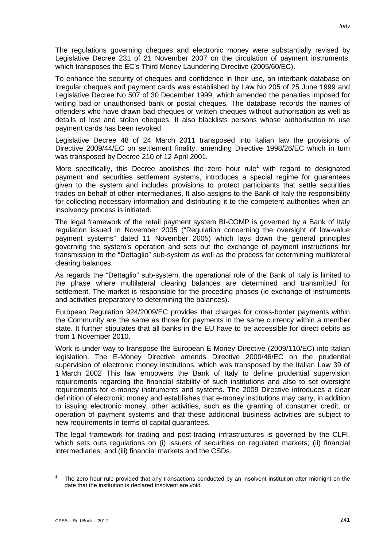The regulations governing cheques and electronic money were substantially revised by Legislative Decree 231 of 21 November 2007 on the circulation of payment instruments, which transposes the EC's Third Money Laundering Directive (2005/60/EC).

To enhance the security of cheques and confidence in their use, an interbank database on irregular cheques and payment cards was established by Law No 205 of 25 June 1999 and Legislative Decree No 507 of 30 December 1999, which amended the penalties imposed for writing bad or unauthorised bank or postal cheques. The database records the names of offenders who have drawn bad cheques or written cheques without authorisation as well as details of lost and stolen cheques. It also blacklists persons whose authorisation to use payment cards has been revoked.

Legislative Decree 48 of 24 March 2011 transposed into Italian law the provisions of Directive 2009/44/EC on settlement finality, amending Directive 1998/26/EC which in turn was transposed by Decree 210 of 12 April 2001.

More specifically, this Decree abolishes the zero hour rule<sup>1</sup> with regard to designated payment and securities settlement systems, introduces a special regime for guarantees given to the system and includes provisions to protect participants that settle securities trades on behalf of other intermediaries. It also assigns to the Bank of Italy the responsibility for collecting necessary information and distributing it to the competent authorities when an insolvency process is initiated.

The legal framework of the retail payment system BI-COMP is governed by a Bank of Italy regulation issued in November 2005 ("Regulation concerning the oversight of low-value payment systems" dated 11 November 2005) which lays down the general principles governing the system's operation and sets out the exchange of payment instructions for transmission to the "Dettaglio" sub-system as well as the process for determining multilateral clearing balances.

As regards the "Dettaglio" sub-system, the operational role of the Bank of Italy is limited to the phase where multilateral clearing balances are determined and transmitted for settlement. The market is responsible for the preceding phases (ie exchange of instruments and activities preparatory to determining the balances).

European Regulation 924/2009/EC provides that charges for cross-border payments within the Community are the same as those for payments in the same currency within a member state. It further stipulates that all banks in the EU have to be accessible for direct debits as from 1 November 2010.

Work is under way to transpose the European E-Money Directive (2009/110/EC) into Italian legislation. The E-Money Directive amends Directive 2000/46/EC on the prudential supervision of electronic money institutions, which was transposed by the Italian Law 39 of 1 March 2002 This law empowers the Bank of Italy to define prudential supervision requirements regarding the financial stability of such institutions and also to set oversight requirements for e-money instruments and systems. The 2009 Directive introduces a clear definition of electronic money and establishes that e-money institutions may carry, in addition to issuing electronic money, other activities, such as the granting of consumer credit, or operation of payment systems and that these additional business activities are subject to new requirements in terms of capital guarantees.

The legal framework for trading and post-trading infrastructures is governed by the CLFI, which sets outs regulations on (i) issuers of securities on regulated markets; (ii) financial intermediaries; and (iii) financial markets and the CSDs.

<u>.</u>

The zero hour rule provided that any transactions conducted by an insolvent institution after midnight on the date that the institution is declared insolvent are void.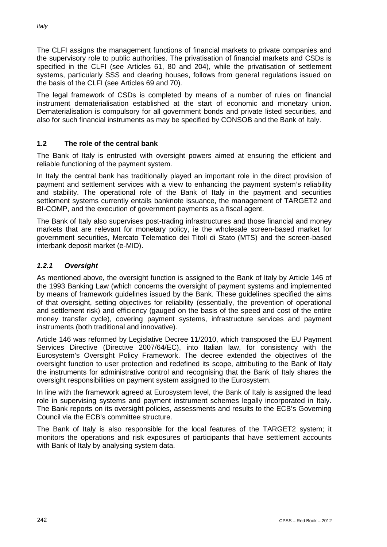The CLFI assigns the management functions of financial markets to private companies and the supervisory role to public authorities. The privatisation of financial markets and CSDs is specified in the CLFI (see Articles 61, 80 and 204), while the privatisation of settlement systems, particularly SSS and clearing houses, follows from general regulations issued on the basis of the CLFI (see Articles 69 and 70).

The legal framework of CSDs is completed by means of a number of rules on financial instrument dematerialisation established at the start of economic and monetary union. Dematerialisation is compulsory for all government bonds and private listed securities, and also for such financial instruments as may be specified by CONSOB and the Bank of Italy.

# **1.2 The role of the central bank**

The Bank of Italy is entrusted with oversight powers aimed at ensuring the efficient and reliable functioning of the payment system.

In Italy the central bank has traditionally played an important role in the direct provision of payment and settlement services with a view to enhancing the payment system's reliability and stability. The operational role of the Bank of Italy in the payment and securities settlement systems currently entails banknote issuance, the management of TARGET2 and BI-COMP, and the execution of government payments as a fiscal agent.

The Bank of Italy also supervises post-trading infrastructures and those financial and money markets that are relevant for monetary policy, ie the wholesale screen-based market for government securities, Mercato Telematico dei Titoli di Stato (MTS) and the screen-based interbank deposit market (e-MID).

# *1.2.1 Oversight*

As mentioned above, the oversight function is assigned to the Bank of Italy by Article 146 of the 1993 Banking Law (which concerns the oversight of payment systems and implemented by means of framework guidelines issued by the Bank. These guidelines specified the aims of that oversight, setting objectives for reliability (essentially, the prevention of operational and settlement risk) and efficiency (gauged on the basis of the speed and cost of the entire money transfer cycle), covering payment systems, infrastructure services and payment instruments (both traditional and innovative).

Article 146 was reformed by Legislative Decree 11/2010, which transposed the EU Payment Services Directive (Directive 2007/64/EC), into Italian law, for consistency with the Eurosystem's Oversight Policy Framework. The decree extended the objectives of the oversight function to user protection and redefined its scope, attributing to the Bank of Italy the instruments for administrative control and recognising that the Bank of Italy shares the oversight responsibilities on payment system assigned to the Eurosystem.

In line with the framework agreed at Eurosystem level, the Bank of Italy is assigned the lead role in supervising systems and payment instrument schemes legally incorporated in Italy. The Bank reports on its oversight policies, assessments and results to the ECB's Governing Council via the ECB's committee structure.

The Bank of Italy is also responsible for the local features of the TARGET2 system; it monitors the operations and risk exposures of participants that have settlement accounts with Bank of Italy by analysing system data.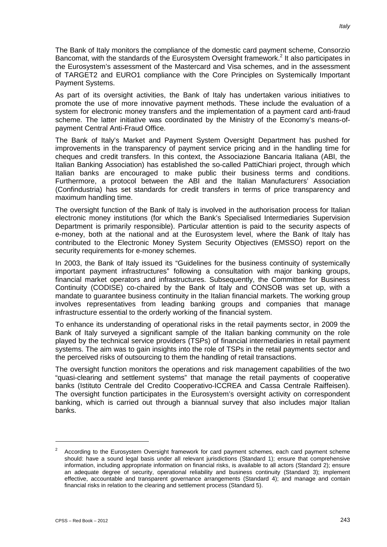The Bank of Italy monitors the compliance of the domestic card payment scheme, Consorzio Bancomat, with the standards of the Eurosystem Oversight framework.<sup>2</sup> It also participates in the Eurosystem's assessment of the Mastercard and Visa schemes, and in the assessment of TARGET2 and EURO1 compliance with the Core Principles on Systemically Important Payment Systems.

As part of its oversight activities, the Bank of Italy has undertaken various initiatives to promote the use of more innovative payment methods. These include the evaluation of a system for electronic money transfers and the implementation of a payment card anti-fraud scheme. The latter initiative was coordinated by the Ministry of the Economy's means-ofpayment Central Anti-Fraud Office.

The Bank of Italy's Market and Payment System Oversight Department has pushed for improvements in the transparency of payment service pricing and in the handling time for cheques and credit transfers. In this context, the Associazione Bancaria Italiana (ABI, the Italian Banking Association) has established the so-called PattiChiari project, through which Italian banks are encouraged to make public their business terms and conditions. Furthermore, a protocol between the ABI and the Italian Manufacturers' Association (Confindustria) has set standards for credit transfers in terms of price transparency and maximum handling time.

The oversight function of the Bank of Italy is involved in the authorisation process for Italian electronic money institutions (for which the Bank's Specialised Intermediaries Supervision Department is primarily responsible). Particular attention is paid to the security aspects of e-money, both at the national and at the Eurosystem level, where the Bank of Italy has contributed to the Electronic Money System Security Objectives (EMSSO) report on the security requirements for e-money schemes.

In 2003, the Bank of Italy issued its "Guidelines for the business continuity of systemically important payment infrastructures" following a consultation with major banking groups, financial market operators and infrastructures. Subsequently, the Committee for Business Continuity (CODISE) co-chaired by the Bank of Italy and CONSOB was set up, with a mandate to guarantee business continuity in the Italian financial markets. The working group involves representatives from leading banking groups and companies that manage infrastructure essential to the orderly working of the financial system.

To enhance its understanding of operational risks in the retail payments sector, in 2009 the Bank of Italy surveyed a significant sample of the Italian banking community on the role played by the technical service providers (TSPs) of financial intermediaries in retail payment systems. The aim was to gain insights into the role of TSPs in the retail payments sector and the perceived risks of outsourcing to them the handling of retail transactions.

The oversight function monitors the operations and risk management capabilities of the two "quasi-clearing and settlement systems" that manage the retail payments of cooperative banks (Istituto Centrale del Credito Cooperativo-ICCREA and Cassa Centrale Raiffeisen). The oversight function participates in the Eurosystem's oversight activity on correspondent banking, which is carried out through a biannual survey that also includes major Italian banks.

<sup>2</sup> According to the Eurosystem Oversight framework for card payment schemes, each card payment scheme should: have a sound legal basis under all relevant jurisdictions (Standard 1); ensure that comprehensive information, including appropriate information on financial risks, is available to all actors (Standard 2); ensure an adequate degree of security, operational reliability and business continuity (Standard 3); implement effective, accountable and transparent governance arrangements (Standard 4); and manage and contain financial risks in relation to the clearing and settlement process (Standard 5).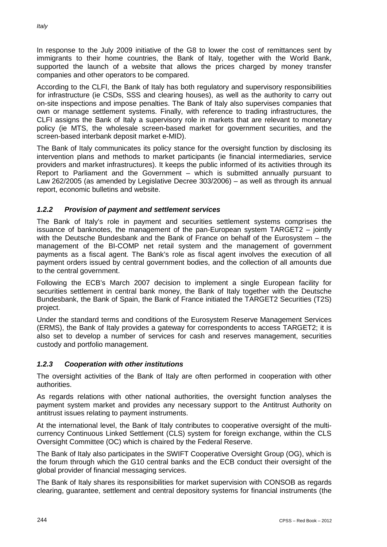In response to the July 2009 initiative of the G8 to lower the cost of remittances sent by immigrants to their home countries, the Bank of Italy, together with the World Bank, supported the launch of a website that allows the prices charged by money transfer companies and other operators to be compared.

According to the CLFI, the Bank of Italy has both regulatory and supervisory responsibilities for infrastructure (ie CSDs, SSS and clearing houses), as well as the authority to carry out on-site inspections and impose penalties. The Bank of Italy also supervises companies that own or manage settlement systems. Finally, with reference to trading infrastructures, the CLFI assigns the Bank of Italy a supervisory role in markets that are relevant to monetary policy (ie MTS, the wholesale screen-based market for government securities, and the screen-based interbank deposit market e-MID).

The Bank of Italy communicates its policy stance for the oversight function by disclosing its intervention plans and methods to market participants (ie financial intermediaries, service providers and market infrastructures). It keeps the public informed of its activities through its Report to Parliament and the Government – which is submitted annually pursuant to Law 262/2005 (as amended by Legislative Decree 303/2006) – as well as through its annual report, economic bulletins and website.

# *1.2.2 Provision of payment and settlement services*

The Bank of Italy's role in payment and securities settlement systems comprises the issuance of banknotes, the management of the pan-European system TARGET2 – jointly with the Deutsche Bundesbank and the Bank of France on behalf of the Eurosystem – the management of the BI-COMP net retail system and the management of government payments as a fiscal agent. The Bank's role as fiscal agent involves the execution of all payment orders issued by central government bodies, and the collection of all amounts due to the central government.

Following the ECB's March 2007 decision to implement a single European facility for securities settlement in central bank money, the Bank of Italy together with the Deutsche Bundesbank, the Bank of Spain, the Bank of France initiated the TARGET2 Securities (T2S) project.

Under the standard terms and conditions of the Eurosystem Reserve Management Services (ERMS), the Bank of Italy provides a gateway for correspondents to access TARGET2; it is also set to develop a number of services for cash and reserves management, securities custody and portfolio management.

# *1.2.3 Cooperation with other institutions*

The oversight activities of the Bank of Italy are often performed in cooperation with other authorities.

As regards relations with other national authorities, the oversight function analyses the payment system market and provides any necessary support to the Antitrust Authority on antitrust issues relating to payment instruments.

At the international level, the Bank of Italy contributes to cooperative oversight of the multicurrency Continuous Linked Settlement (CLS) system for foreign exchange, within the CLS Oversight Committee (OC) which is chaired by the Federal Reserve.

The Bank of Italy also participates in the SWIFT Cooperative Oversight Group (OG), which is the forum through which the G10 central banks and the ECB conduct their oversight of the global provider of financial messaging services.

The Bank of Italy shares its responsibilities for market supervision with CONSOB as regards clearing, guarantee, settlement and central depository systems for financial instruments (the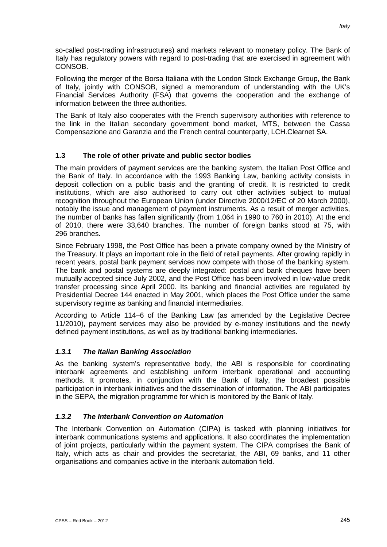so-called post-trading infrastructures) and markets relevant to monetary policy. The Bank of Italy has regulatory powers with regard to post-trading that are exercised in agreement with CONSOB.

Following the merger of the Borsa Italiana with the London Stock Exchange Group, the Bank of Italy, jointly with CONSOB, signed a memorandum of understanding with the UK's Financial Services Authority (FSA) that governs the cooperation and the exchange of information between the three authorities.

The Bank of Italy also cooperates with the French supervisory authorities with reference to the link in the Italian secondary government bond market, MTS, between the Cassa Compensazione and Garanzia and the French central counterparty, LCH.Clearnet SA.

# **1.3 The role of other private and public sector bodies**

The main providers of payment services are the banking system, the Italian Post Office and the Bank of Italy. In accordance with the 1993 Banking Law, banking activity consists in deposit collection on a public basis and the granting of credit. It is restricted to credit institutions, which are also authorised to carry out other activities subject to mutual recognition throughout the European Union (under Directive 2000/12/EC of 20 March 2000), notably the issue and management of payment instruments. As a result of merger activities, the number of banks has fallen significantly (from 1,064 in 1990 to 760 in 2010). At the end of 2010, there were 33,640 branches. The number of foreign banks stood at 75, with 296 branches.

Since February 1998, the Post Office has been a private company owned by the Ministry of the Treasury. It plays an important role in the field of retail payments. After growing rapidly in recent years, postal bank payment services now compete with those of the banking system. The bank and postal systems are deeply integrated: postal and bank cheques have been mutually accepted since July 2002, and the Post Office has been involved in low-value credit transfer processing since April 2000. Its banking and financial activities are regulated by Presidential Decree 144 enacted in May 2001, which places the Post Office under the same supervisory regime as banking and financial intermediaries.

According to Article 114–6 of the Banking Law (as amended by the Legislative Decree 11/2010), payment services may also be provided by e-money institutions and the newly defined payment institutions, as well as by traditional banking intermediaries.

# *1.3.1 The Italian Banking Association*

As the banking system's representative body, the ABI is responsible for coordinating interbank agreements and establishing uniform interbank operational and accounting methods. It promotes, in conjunction with the Bank of Italy, the broadest possible participation in interbank initiatives and the dissemination of information. The ABI participates in the SEPA, the migration programme for which is monitored by the Bank of Italy.

# *1.3.2 The Interbank Convention on Automation*

The Interbank Convention on Automation (CIPA) is tasked with planning initiatives for interbank communications systems and applications. It also coordinates the implementation of joint projects, particularly within the payment system. The CIPA comprises the Bank of Italy, which acts as chair and provides the secretariat, the ABI, 69 banks, and 11 other organisations and companies active in the interbank automation field.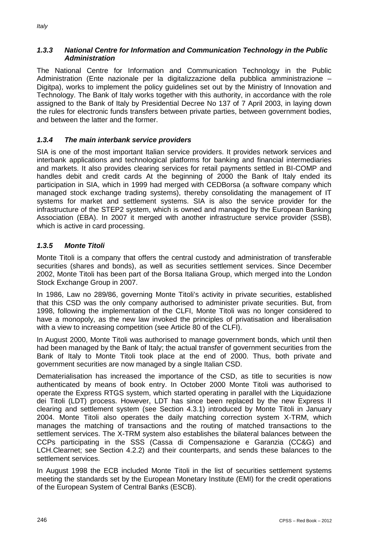# *1.3.3 National Centre for Information and Communication Technology in the Public Administration*

The National Centre for Information and Communication Technology in the Public Administration (Ente nazionale per la digitalizzazione della pubblica amministrazione – Digitpa), works to implement the policy guidelines set out by the Ministry of Innovation and Technology. The Bank of Italy works together with this authority, in accordance with the role assigned to the Bank of Italy by Presidential Decree No 137 of 7 April 2003, in laying down the rules for electronic funds transfers between private parties, between government bodies, and between the latter and the former.

# *1.3.4 The main interbank service providers*

SIA is one of the most important Italian service providers. It provides network services and interbank applications and technological platforms for banking and financial intermediaries and markets. It also provides clearing services for retail payments settled in BI-COMP and handles debit and credit cards At the beginning of 2000 the Bank of Italy ended its participation in SIA, which in 1999 had merged with CEDBorsa (a software company which managed stock exchange trading systems), thereby consolidating the management of IT systems for market and settlement systems. SIA is also the service provider for the infrastructure of the STEP2 system, which is owned and managed by the European Banking Association (EBA). In 2007 it merged with another infrastructure service provider (SSB), which is active in card processing.

# *1.3.5 Monte Titoli*

Monte Titoli is a company that offers the central custody and administration of transferable securities (shares and bonds), as well as securities settlement services. Since December 2002, Monte Titoli has been part of the Borsa Italiana Group, which merged into the London Stock Exchange Group in 2007.

In 1986, Law no 289/86, governing Monte Titoli's activity in private securities, established that this CSD was the only company authorised to administer private securities. But, from 1998, following the implementation of the CLFI, Monte Titoli was no longer considered to have a monopoly, as the new law invoked the principles of privatisation and liberalisation with a view to increasing competition (see Article 80 of the CLFI).

In August 2000, Monte Titoli was authorised to manage government bonds, which until then had been managed by the Bank of Italy; the actual transfer of government securities from the Bank of Italy to Monte Titoli took place at the end of 2000. Thus, both private and government securities are now managed by a single Italian CSD.

Dematerialisation has increased the importance of the CSD, as title to securities is now authenticated by means of book entry. In October 2000 Monte Titoli was authorised to operate the Express RTGS system, which started operating in parallel with the Liquidazione dei Titoli (LDT) process. However, LDT has since been replaced by the new Express II clearing and settlement system (see Section 4.3.1) introduced by Monte Titoli in January 2004. Monte Titoli also operates the daily matching correction system X-TRM, which manages the matching of transactions and the routing of matched transactions to the settlement services. The X-TRM system also establishes the bilateral balances between the CCPs participating in the SSS (Cassa di Compensazione e Garanzia (CC&G) and LCH.Clearnet; see Section 4.2.2) and their counterparts, and sends these balances to the settlement services.

In August 1998 the ECB included Monte Titoli in the list of securities settlement systems meeting the standards set by the European Monetary Institute (EMI) for the credit operations of the European System of Central Banks (ESCB).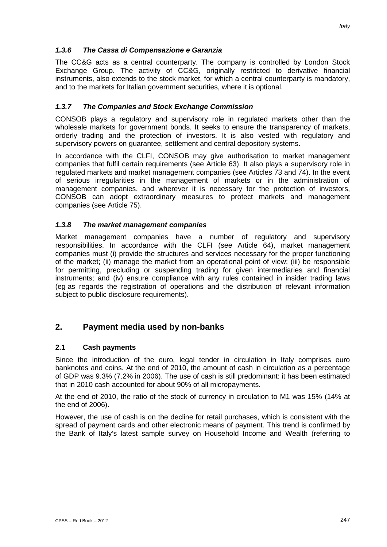### *1.3.6 The Cassa di Compensazione e Garanzia*

The CC&G acts as a central counterparty. The company is controlled by London Stock Exchange Group. The activity of CC&G, originally restricted to derivative financial instruments, also extends to the stock market, for which a central counterparty is mandatory, and to the markets for Italian government securities, where it is optional.

### *1.3.7 The Companies and Stock Exchange Commission*

CONSOB plays a regulatory and supervisory role in regulated markets other than the wholesale markets for government bonds. It seeks to ensure the transparency of markets, orderly trading and the protection of investors. It is also vested with regulatory and supervisory powers on guarantee, settlement and central depository systems.

In accordance with the CLFI, CONSOB may give authorisation to market management companies that fulfil certain requirements (see Article 63). It also plays a supervisory role in regulated markets and market management companies (see Articles 73 and 74). In the event of serious irregularities in the management of markets or in the administration of management companies, and wherever it is necessary for the protection of investors, CONSOB can adopt extraordinary measures to protect markets and management companies (see Article 75).

### *1.3.8 The market management companies*

Market management companies have a number of regulatory and supervisory responsibilities. In accordance with the CLFI (see Article 64), market management companies must (i) provide the structures and services necessary for the proper functioning of the market; (ii) manage the market from an operational point of view; (iii) be responsible for permitting, precluding or suspending trading for given intermediaries and financial instruments; and (iv) ensure compliance with any rules contained in insider trading laws (eg as regards the registration of operations and the distribution of relevant information subject to public disclosure requirements).

# **2. Payment media used by non-banks**

#### **2.1 Cash payments**

Since the introduction of the euro, legal tender in circulation in Italy comprises euro banknotes and coins. At the end of 2010, the amount of cash in circulation as a percentage of GDP was 9.3% (7.2% in 2006). The use of cash is still predominant: it has been estimated that in 2010 cash accounted for about 90% of all micropayments.

At the end of 2010, the ratio of the stock of currency in circulation to M1 was 15% (14% at the end of 2006).

However, the use of cash is on the decline for retail purchases, which is consistent with the spread of payment cards and other electronic means of payment. This trend is confirmed by the Bank of Italy's latest sample survey on Household Income and Wealth (referring to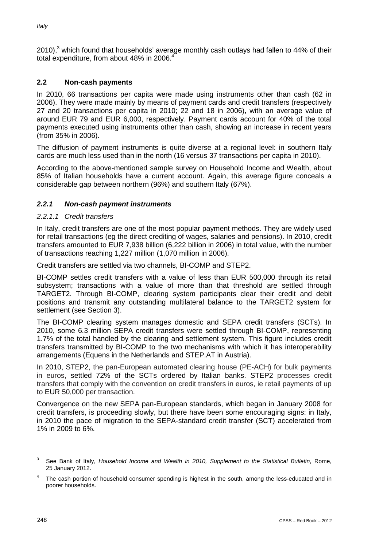2010),<sup>3</sup> which found that households' average monthly cash outlays had fallen to 44% of their total expenditure, from about 48% in 2006. 4

# **2.2 Non-cash payments**

In 2010, 66 transactions per capita were made using instruments other than cash (62 in 2006). They were made mainly by means of payment cards and credit transfers (respectively 27 and 20 transactions per capita in 2010; 22 and 18 in 2006), with an average value of around EUR 79 and EUR 6,000, respectively. Payment cards account for 40% of the total payments executed using instruments other than cash, showing an increase in recent years (from 35% in 2006).

The diffusion of payment instruments is quite diverse at a regional level: in southern Italy cards are much less used than in the north (16 versus 37 transactions per capita in 2010).

According to the above-mentioned sample survey on Household Income and Wealth, about 85% of Italian households have a current account. Again, this average figure conceals a considerable gap between northern (96%) and southern Italy (67%).

### *2.2.1 Non-cash payment instruments*

#### *2.2.1.1 Credit transfers*

In Italy, credit transfers are one of the most popular payment methods. They are widely used for retail transactions (eg the direct crediting of wages, salaries and pensions). In 2010, credit transfers amounted to EUR 7,938 billion (6,222 billion in 2006) in total value, with the number of transactions reaching 1,227 million (1,070 million in 2006).

Credit transfers are settled via two channels, BI-COMP and STEP2.

BI-COMP settles credit transfers with a value of less than EUR 500,000 through its retail subsystem; transactions with a value of more than that threshold are settled through TARGET2. Through BI-COMP, clearing system participants clear their credit and debit positions and transmit any outstanding multilateral balance to the TARGET2 system for settlement (see Section 3).

The BI-COMP clearing system manages domestic and SEPA credit transfers (SCTs). In 2010, some 6.3 million SEPA credit transfers were settled through BI-COMP, representing 1.7% of the total handled by the clearing and settlement system. This figure includes credit transfers transmitted by BI-COMP to the two mechanisms with which it has interoperability arrangements (Equens in the Netherlands and STEP.AT in Austria).

In 2010, STEP2, the pan-European automated clearing house (PE-ACH) for bulk payments in euros, settled 72% of the SCTs ordered by Italian banks. STEP2 processes credit transfers that comply with the convention on credit transfers in euros, ie retail payments of up to EUR 50,000 per transaction.

Convergence on the new SEPA pan-European standards, which began in January 2008 for credit transfers, is proceeding slowly, but there have been some encouraging signs: in Italy, in 2010 the pace of migration to the SEPA-standard credit transfer (SCT) accelerated from 1% in 2009 to 6%.

<sup>3</sup> See Bank of Italy, *Household Income and Wealth in 2010, Supplement to the Statistical Bulletin*, Rome, 25 January 2012.

The cash portion of household consumer spending is highest in the south, among the less-educated and in poorer households.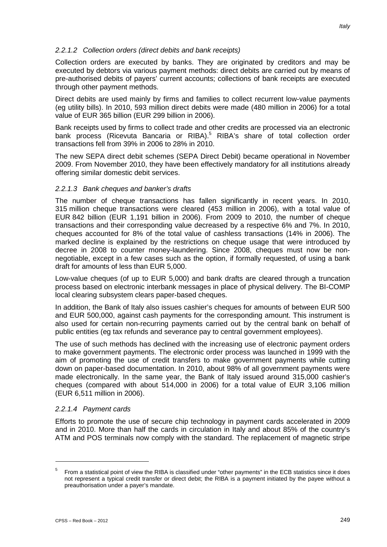# *2.2.1.2 Collection orders (direct debits and bank receipts)*

Collection orders are executed by banks. They are originated by creditors and may be executed by debtors via various payment methods: direct debits are carried out by means of pre-authorised debits of payers' current accounts; collections of bank receipts are executed through other payment methods.

Direct debits are used mainly by firms and families to collect recurrent low-value payments (eg utility bills). In 2010, 593 million direct debits were made (480 million in 2006) for a total value of EUR 365 billion (EUR 299 billion in 2006).

Bank receipts used by firms to collect trade and other credits are processed via an electronic bank process (Ricevuta Bancaria or RIBA).<sup>5</sup> RIBA's share of total collection order transactions fell from 39% in 2006 to 28% in 2010.

The new SEPA direct debit schemes (SEPA Direct Debit) became operational in November 2009. From November 2010, they have been effectively mandatory for all institutions already offering similar domestic debit services.

### *2.2.1.3 Bank cheques and banker's drafts*

The number of cheque transactions has fallen significantly in recent years. In 2010, 315 million cheque transactions were cleared (453 million in 2006), with a total value of EUR 842 billion (EUR 1,191 billion in 2006). From 2009 to 2010, the number of cheque transactions and their corresponding value decreased by a respective 6% and 7%. In 2010, cheques accounted for 8% of the total value of cashless transactions (14% in 2006). The marked decline is explained by the restrictions on cheque usage that were introduced by decree in 2008 to counter money-laundering. Since 2008, cheques must now be nonnegotiable, except in a few cases such as the option, if formally requested, of using a bank draft for amounts of less than EUR 5,000.

Low-value cheques (of up to EUR 5,000) and bank drafts are cleared through a truncation process based on electronic interbank messages in place of physical delivery. The BI-COMP local clearing subsystem clears paper-based cheques.

In addition, the Bank of Italy also issues cashier's cheques for amounts of between EUR 500 and EUR 500,000, against cash payments for the corresponding amount. This instrument is also used for certain non-recurring payments carried out by the central bank on behalf of public entities (eg tax refunds and severance pay to central government employees).

The use of such methods has declined with the increasing use of electronic payment orders to make government payments. The electronic order process was launched in 1999 with the aim of promoting the use of credit transfers to make government payments while cutting down on paper-based documentation. In 2010, about 98% of all government payments were made electronically. In the same year, the Bank of Italy issued around 315,000 cashier's cheques (compared with about 514,000 in 2006) for a total value of EUR 3,106 million (EUR 6,511 million in 2006).

### *2.2.1.4 Payment cards*

Efforts to promote the use of secure chip technology in payment cards accelerated in 2009 and in 2010. More than half the cards in circulation in Italy and about 85% of the country's ATM and POS terminals now comply with the standard. The replacement of magnetic stripe

<u>.</u>

<sup>&</sup>lt;sup>5</sup> From a statistical point of view the RIBA is classified under "other payments" in the ECB statistics since it does not represent a typical credit transfer or direct debit; the RIBA is a payment initiated by the payee without a preauthorisation under a payer's mandate.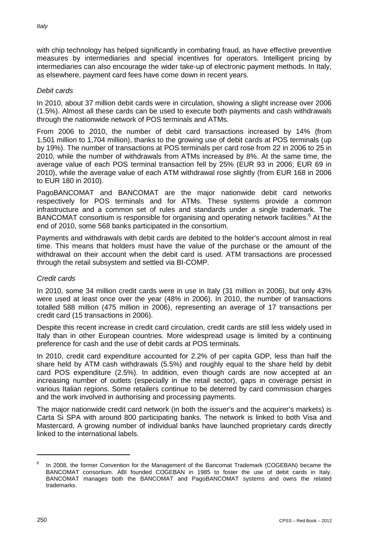with chip technology has helped significantly in combating fraud, as have effective preventive measures by intermediaries and special incentives for operators. Intelligent pricing by intermediaries can also encourage the wider take-up of electronic payment methods. In Italy, as elsewhere, payment card fees have come down in recent years.

### *Debit cards*

In 2010, about 37 million debit cards were in circulation, showing a slight increase over 2006 (1.5%). Almost all these cards can be used to execute both payments and cash withdrawals through the nationwide network of POS terminals and ATMs.

From 2006 to 2010, the number of debit card transactions increased by 14% (from 1,501 million to 1,704 million), thanks to the growing use of debit cards at POS terminals (up by 19%). The number of transactions at POS terminals per card rose from 22 in 2006 to 25 in 2010, while the number of withdrawals from ATMs increased by 8%. At the same time, the average value of each POS terminal transaction fell by 25% (EUR 93 in 2006; EUR 69 in 2010), while the average value of each ATM withdrawal rose slightly (from EUR 168 in 2006 to EUR 180 in 2010).

PagoBANCOMAT and BANCOMAT are the major nationwide debit card networks respectively for POS terminals and for ATMs. These systems provide a common infrastructure and a common set of rules and standards under a single trademark. The BANCOMAT consortium is responsible for organising and operating network facilities.<sup>6</sup> At the end of 2010, some 568 banks participated in the consortium.

Payments and withdrawals with debit cards are debited to the holder's account almost in real time. This means that holders must have the value of the purchase or the amount of the withdrawal on their account when the debit card is used. ATM transactions are processed through the retail subsystem and settled via BI-COMP.

### *Credit cards*

In 2010, some 34 million credit cards were in use in Italy (31 million in 2006), but only 43% were used at least once over the year (48% in 2006). In 2010, the number of transactions totalled 588 million (475 million in 2006), representing an average of 17 transactions per credit card (15 transactions in 2006).

Despite this recent increase in credit card circulation, credit cards are still less widely used in Italy than in other European countries. More widespread usage is limited by a continuing preference for cash and the use of debit cards at POS terminals.

In 2010, credit card expenditure accounted for 2.2% of per capita GDP, less than half the share held by ATM cash withdrawals (5.5%) and roughly equal to the share held by debit card POS expenditure (2.5%). In addition, even though cards are now accepted at an increasing number of outlets (especially in the retail sector), gaps in coverage persist in various Italian regions. Some retailers continue to be deterred by card commission charges and the work involved in authorising and processing payments.

The major nationwide credit card network (in both the issuer's and the acquirer's markets) is Carta Si SPA with around 800 participating banks. The network is linked to both Visa and Mastercard. A growing number of individual banks have launched proprietary cards directly linked to the international labels.

In 2008, the former Convention for the Management of the Bancomat Trademark (COGEBAN) became the BANCOMAT consortium. ABI founded COGEBAN in 1985 to foster the use of debit cards in Italy. BANCOMAT manages both the BANCOMAT and PagoBANCOMAT systems and owns the related trademarks.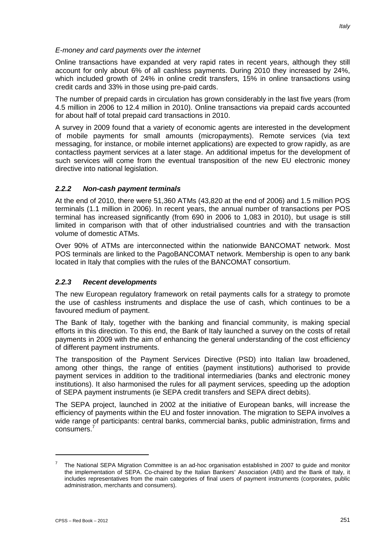#### *E-money and card payments over the internet*

Online transactions have expanded at very rapid rates in recent years, although they still account for only about 6% of all cashless payments. During 2010 they increased by 24%, which included growth of 24% in online credit transfers, 15% in online transactions using credit cards and 33% in those using pre-paid cards.

The number of prepaid cards in circulation has grown considerably in the last five years (from 4.5 million in 2006 to 12.4 million in 2010). Online transactions via prepaid cards accounted for about half of total prepaid card transactions in 2010.

A survey in 2009 found that a variety of economic agents are interested in the development of mobile payments for small amounts (micropayments). Remote services (via text messaging, for instance, or mobile internet applications) are expected to grow rapidly, as are contactless payment services at a later stage. An additional impetus for the development of such services will come from the eventual transposition of the new EU electronic money directive into national legislation.

### *2.2.2 Non-cash payment terminals*

At the end of 2010, there were 51,360 ATMs (43,820 at the end of 2006) and 1.5 million POS terminals (1.1 million in 2006). In recent years, the annual number of transactions per POS terminal has increased significantly (from 690 in 2006 to 1,083 in 2010), but usage is still limited in comparison with that of other industrialised countries and with the transaction volume of domestic ATMs.

Over 90% of ATMs are interconnected within the nationwide BANCOMAT network. Most POS terminals are linked to the PagoBANCOMAT network. Membership is open to any bank located in Italy that complies with the rules of the BANCOMAT consortium.

#### *2.2.3 Recent developments*

The new European regulatory framework on retail payments calls for a strategy to promote the use of cashless instruments and displace the use of cash, which continues to be a favoured medium of payment.

The Bank of Italy, together with the banking and financial community, is making special efforts in this direction. To this end, the Bank of Italy launched a survey on the costs of retail payments in 2009 with the aim of enhancing the general understanding of the cost efficiency of different payment instruments.

The transposition of the Payment Services Directive (PSD) into Italian law broadened, among other things, the range of entities (payment institutions) authorised to provide payment services in addition to the traditional intermediaries (banks and electronic money institutions). It also harmonised the rules for all payment services, speeding up the adoption of SEPA payment instruments (ie SEPA credit transfers and SEPA direct debits).

The SEPA project, launched in 2002 at the initiative of European banks, will increase the efficiency of payments within the EU and foster innovation. The migration to SEPA involves a wide range of participants: central banks, commercial banks, public administration, firms and consumers. 7

<sup>7</sup> The National SEPA Migration Committee is an ad-hoc organisation established in 2007 to guide and monitor the implementation of SEPA. Co-chaired by the Italian Bankers' Association (ABI) and the Bank of Italy, it includes representatives from the main categories of final users of payment instruments (corporates, public administration, merchants and consumers).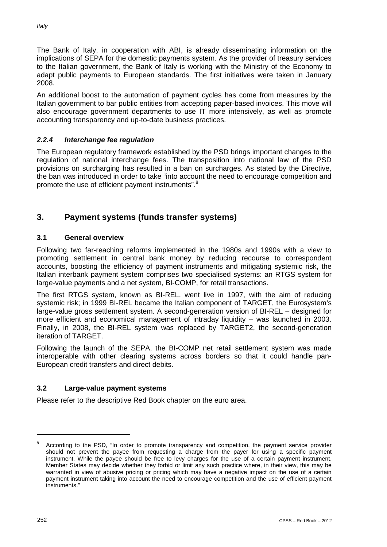The Bank of Italy, in cooperation with ABI, is already disseminating information on the implications of SEPA for the domestic payments system. As the provider of treasury services to the Italian government, the Bank of Italy is working with the Ministry of the Economy to adapt public payments to European standards. The first initiatives were taken in January 2008.

An additional boost to the automation of payment cycles has come from measures by the Italian government to bar public entities from accepting paper-based invoices. This move will also encourage government departments to use IT more intensively, as well as promote accounting transparency and up-to-date business practices.

# *2.2.4 Interchange fee regulation*

The European regulatory framework established by the PSD brings important changes to the regulation of national interchange fees. The transposition into national law of the PSD provisions on surcharging has resulted in a ban on surcharges. As stated by the Directive, the ban was introduced in order to take "into account the need to encourage competition and promote the use of efficient payment instruments".<sup>8</sup>

# **3. Payment systems (funds transfer systems)**

# **3.1 General overview**

Following two far-reaching reforms implemented in the 1980s and 1990s with a view to promoting settlement in central bank money by reducing recourse to correspondent accounts, boosting the efficiency of payment instruments and mitigating systemic risk, the Italian interbank payment system comprises two specialised systems: an RTGS system for large-value payments and a net system, BI-COMP, for retail transactions.

The first RTGS system, known as BI-REL, went live in 1997, with the aim of reducing systemic risk; in 1999 BI-REL became the Italian component of TARGET, the Eurosystem's large-value gross settlement system. A second-generation version of BI-REL – designed for more efficient and economical management of intraday liquidity – was launched in 2003. Finally, in 2008, the BI-REL system was replaced by TARGET2, the second-generation iteration of TARGET.

Following the launch of the SEPA, the BI-COMP net retail settlement system was made interoperable with other clearing systems across borders so that it could handle pan-European credit transfers and direct debits.

# **3.2 Large-value payment systems**

Please refer to the descriptive Red Book chapter on the euro area.

<sup>8</sup> According to the PSD, "In order to promote transparency and competition, the payment service provider should not prevent the payee from requesting a charge from the payer for using a specific payment instrument. While the payee should be free to levy charges for the use of a certain payment instrument, Member States may decide whether they forbid or limit any such practice where, in their view, this may be warranted in view of abusive pricing or pricing which may have a negative impact on the use of a certain payment instrument taking into account the need to encourage competition and the use of efficient payment instruments."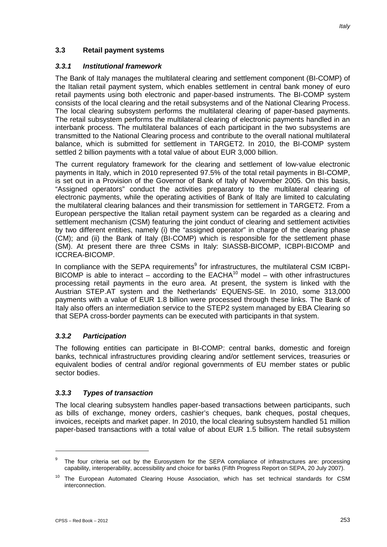### **3.3 Retail payment systems**

#### *3.3.1 Institutional framework*

The Bank of Italy manages the multilateral clearing and settlement component (BI-COMP) of the Italian retail payment system, which enables settlement in central bank money of euro retail payments using both electronic and paper-based instruments. The BI-COMP system consists of the local clearing and the retail subsystems and of the National Clearing Process. The local clearing subsystem performs the multilateral clearing of paper-based payments. The retail subsystem performs the multilateral clearing of electronic payments handled in an interbank process. The multilateral balances of each participant in the two subsystems are transmitted to the National Clearing process and contribute to the overall national multilateral balance, which is submitted for settlement in TARGET2. In 2010, the BI-COMP system settled 2 billion payments with a total value of about EUR 3,000 billion.

The current regulatory framework for the clearing and settlement of low-value electronic payments in Italy, which in 2010 represented 97.5% of the total retail payments in BI-COMP, is set out in a Provision of the Governor of Bank of Italy of November 2005. On this basis, "Assigned operators" conduct the activities preparatory to the multilateral clearing of electronic payments, while the operating activities of Bank of Italy are limited to calculating the multilateral clearing balances and their transmission for settlement in TARGET2. From a European perspective the Italian retail payment system can be regarded as a clearing and settlement mechanism (CSM) featuring the joint conduct of clearing and settlement activities by two different entities, namely (i) the "assigned operator" in charge of the clearing phase (CM); and (ii) the Bank of Italy (BI-COMP) which is responsible for the settlement phase (SM). At present there are three CSMs in Italy: SIASSB-BICOMP, ICBPI-BICOMP and ICCREA-BICOMP.

In compliance with the SEPA requirements<sup>9</sup> for infrastructures, the multilateral CSM ICBPI-BICOMP is able to interact – according to the  $EACHA<sup>10</sup>$  model – with other infrastructures processing retail payments in the euro area. At present, the system is linked with the Austrian STEP.AT system and the Netherlands' EQUENS-SE. In 2010, some 313,000 payments with a value of EUR 1.8 billion were processed through these links. The Bank of Italy also offers an intermediation service to the STEP2 system managed by EBA Clearing so that SEPA cross-border payments can be executed with participants in that system.

#### *3.3.2 Participation*

The following entities can participate in BI-COMP: central banks, domestic and foreign banks, technical infrastructures providing clearing and/or settlement services, treasuries or equivalent bodies of central and/or regional governments of EU member states or public sector bodies.

#### *3.3.3 Types of transaction*

The local clearing subsystem handles paper-based transactions between participants, such as bills of exchange, money orders, cashier's cheques, bank cheques, postal cheques, invoices, receipts and market paper. In 2010, the local clearing subsystem handled 51 million paper-based transactions with a total value of about EUR 1.5 billion. The retail subsystem

<sup>&</sup>lt;sup>9</sup> The four criteria set out by the Eurosystem for the SEPA compliance of infrastructures are: processing capability, interoperability, accessibility and choice for banks (Fifth Progress Report on SEPA, 20 July 2007).

<sup>&</sup>lt;sup>10</sup> The European Automated Clearing House Association, which has set technical standards for CSM interconnection.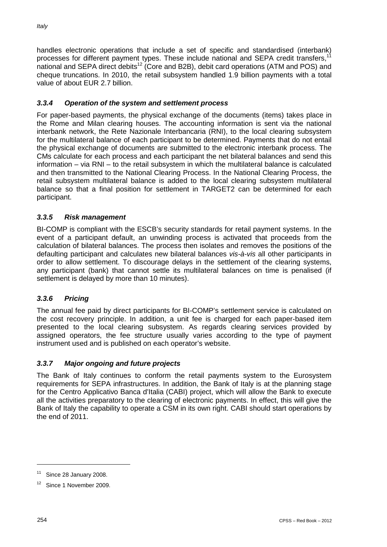handles electronic operations that include a set of specific and standardised (interbank) processes for different payment types. These include national and SEPA credit transfers,<sup>11</sup> national and SEPA direct debits<sup>12</sup> (Core and B2B), debit card operations (ATM and POS) and cheque truncations. In 2010, the retail subsystem handled 1.9 billion payments with a total value of about EUR 2.7 billion.

# *3.3.4 Operation of the system and settlement process*

For paper-based payments, the physical exchange of the documents (items) takes place in the Rome and Milan clearing houses. The accounting information is sent via the national interbank network, the Rete Nazionale Interbancaria (RNI), to the local clearing subsystem for the multilateral balance of each participant to be determined. Payments that do not entail the physical exchange of documents are submitted to the electronic interbank process. The CMs calculate for each process and each participant the net bilateral balances and send this information – via RNI – to the retail subsystem in which the multilateral balance is calculated and then transmitted to the National Clearing Process. In the National Clearing Process, the retail subsystem multilateral balance is added to the local clearing subsystem multilateral balance so that a final position for settlement in TARGET2 can be determined for each participant.

# *3.3.5 Risk management*

BI-COMP is compliant with the ESCB's security standards for retail payment systems. In the event of a participant default, an unwinding process is activated that proceeds from the calculation of bilateral balances. The process then isolates and removes the positions of the defaulting participant and calculates new bilateral balances *vis-à-vis* all other participants in order to allow settlement. To discourage delays in the settlement of the clearing systems, any participant (bank) that cannot settle its multilateral balances on time is penalised (if settlement is delayed by more than 10 minutes).

# *3.3.6 Pricing*

The annual fee paid by direct participants for BI-COMP's settlement service is calculated on the cost recovery principle. In addition, a unit fee is charged for each paper-based item presented to the local clearing subsystem. As regards clearing services provided by assigned operators, the fee structure usually varies according to the type of payment instrument used and is published on each operator's website.

# *3.3.7 Major ongoing and future projects*

The Bank of Italy continues to conform the retail payments system to the Eurosystem requirements for SEPA infrastructures. In addition, the Bank of Italy is at the planning stage for the Centro Applicativo Banca d'Italia (CABI) project, which will allow the Bank to execute all the activities preparatory to the clearing of electronic payments. In effect, this will give the Bank of Italy the capability to operate a CSM in its own right. CABI should start operations by the end of 2011.

<u>.</u>

 $11$  Since 28 January 2008.

<sup>&</sup>lt;sup>12</sup> Since 1 November 2009.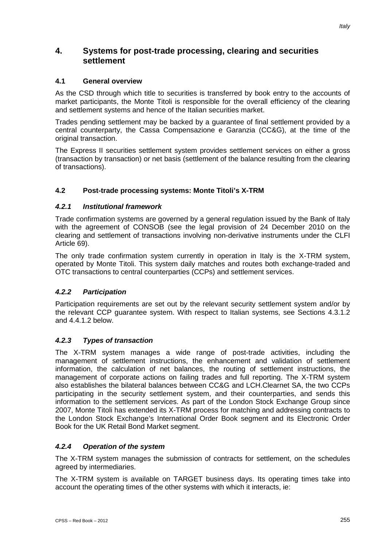# **4. Systems for post-trade processing, clearing and securities settlement**

# **4.1 General overview**

As the CSD through which title to securities is transferred by book entry to the accounts of market participants, the Monte Titoli is responsible for the overall efficiency of the clearing and settlement systems and hence of the Italian securities market.

Trades pending settlement may be backed by a guarantee of final settlement provided by a central counterparty, the Cassa Compensazione e Garanzia (CC&G), at the time of the original transaction.

The Express II securities settlement system provides settlement services on either a gross (transaction by transaction) or net basis (settlement of the balance resulting from the clearing of transactions).

# **4.2 Post-trade processing systems: Monte Titoli's X-TRM**

### *4.2.1 Institutional framework*

Trade confirmation systems are governed by a general regulation issued by the Bank of Italy with the agreement of CONSOB (see the legal provision of 24 December 2010 on the clearing and settlement of transactions involving non-derivative instruments under the CLFI Article 69).

The only trade confirmation system currently in operation in Italy is the X-TRM system, operated by Monte Titoli. This system daily matches and routes both exchange-traded and OTC transactions to central counterparties (CCPs) and settlement services.

# *4.2.2 Participation*

Participation requirements are set out by the relevant security settlement system and/or by the relevant CCP guarantee system. With respect to Italian systems, see Sections 4.3.1.2 and 4.4.1.2 below.

### *4.2.3 Types of transaction*

The X-TRM system manages a wide range of post-trade activities, including the management of settlement instructions, the enhancement and validation of settlement information, the calculation of net balances, the routing of settlement instructions, the management of corporate actions on failing trades and full reporting. The X-TRM system also establishes the bilateral balances between CC&G and LCH.Clearnet SA, the two CCPs participating in the security settlement system, and their counterparties, and sends this information to the settlement services. As part of the London Stock Exchange Group since 2007, Monte Titoli has extended its X-TRM process for matching and addressing contracts to the London Stock Exchange's International Order Book segment and its Electronic Order Book for the UK Retail Bond Market segment.

### *4.2.4 Operation of the system*

The X-TRM system manages the submission of contracts for settlement, on the schedules agreed by intermediaries.

The X-TRM system is available on TARGET business days. Its operating times take into account the operating times of the other systems with which it interacts, ie: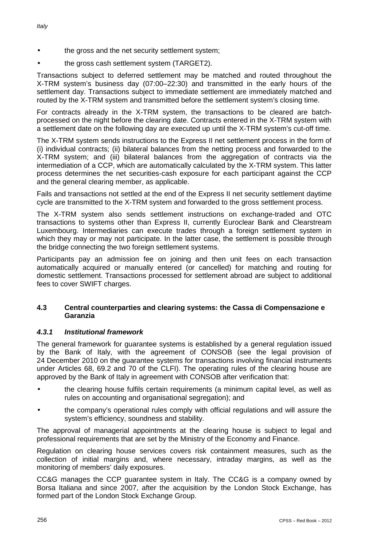the gross cash settlement system (TARGET2).

Transactions subject to deferred settlement may be matched and routed throughout the X-TRM system's business day (07:00–22:30) and transmitted in the early hours of the settlement day. Transactions subject to immediate settlement are immediately matched and routed by the X-TRM system and transmitted before the settlement system's closing time.

For contracts already in the X-TRM system, the transactions to be cleared are batchprocessed on the night before the clearing date. Contracts entered in the X-TRM system with a settlement date on the following day are executed up until the X-TRM system's cut-off time.

The X-TRM system sends instructions to the Express II net settlement process in the form of (i) individual contracts; (ii) bilateral balances from the netting process and forwarded to the X-TRM system; and (iii) bilateral balances from the aggregation of contracts via the intermediation of a CCP, which are automatically calculated by the X-TRM system. This latter process determines the net securities-cash exposure for each participant against the CCP and the general clearing member, as applicable.

Fails and transactions not settled at the end of the Express II net security settlement daytime cycle are transmitted to the X-TRM system and forwarded to the gross settlement process.

The X-TRM system also sends settlement instructions on exchange-traded and OTC transactions to systems other than Express II, currently Euroclear Bank and Clearstream Luxembourg. Intermediaries can execute trades through a foreign settlement system in which they may or may not participate. In the latter case, the settlement is possible through the bridge connecting the two foreign settlement systems.

Participants pay an admission fee on joining and then unit fees on each transaction automatically acquired or manually entered (or cancelled) for matching and routing for domestic settlement. Transactions processed for settlement abroad are subject to additional fees to cover SWIFT charges.

#### **4.3 Central counterparties and clearing systems: the Cassa di Compensazione e Garanzia**

### *4.3.1 Institutional framework*

The general framework for guarantee systems is established by a general regulation issued by the Bank of Italy, with the agreement of CONSOB (see the legal provision of 24 December 2010 on the guarantee systems for transactions involving financial instruments under Articles 68, 69.2 and 70 of the CLFI). The operating rules of the clearing house are approved by the Bank of Italy in agreement with CONSOB after verification that:

- the clearing house fulfils certain requirements (a minimum capital level, as well as rules on accounting and organisational segregation); and
- the company's operational rules comply with official regulations and will assure the system's efficiency, soundness and stability.

The approval of managerial appointments at the clearing house is subject to legal and professional requirements that are set by the Ministry of the Economy and Finance.

Regulation on clearing house services covers risk containment measures, such as the collection of initial margins and, where necessary, intraday margins, as well as the monitoring of members' daily exposures.

CC&G manages the CCP guarantee system in Italy. The CC&G is a company owned by Borsa Italiana and since 2007, after the acquisition by the London Stock Exchange, has formed part of the London Stock Exchange Group.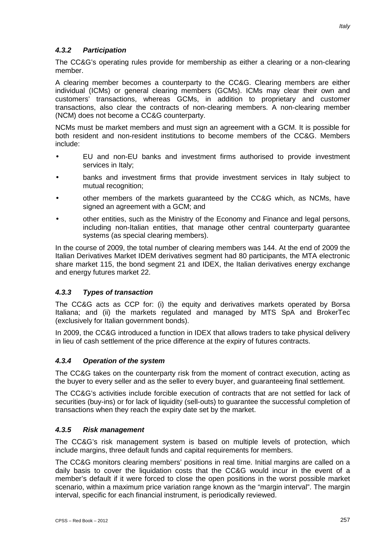# *4.3.2 Participation*

The CC&G's operating rules provide for membership as either a clearing or a non-clearing member.

A clearing member becomes a counterparty to the CC&G. Clearing members are either individual (ICMs) or general clearing members (GCMs). ICMs may clear their own and customers' transactions, whereas GCMs, in addition to proprietary and customer transactions, also clear the contracts of non-clearing members. A non-clearing member (NCM) does not become a CC&G counterparty.

NCMs must be market members and must sign an agreement with a GCM. It is possible for both resident and non-resident institutions to become members of the CC&G. Members include:

- EU and non-EU banks and investment firms authorised to provide investment services in Italy;
- banks and investment firms that provide investment services in Italy subject to mutual recognition;
- other members of the markets guaranteed by the CC&G which, as NCMs, have signed an agreement with a GCM; and
- other entities, such as the Ministry of the Economy and Finance and legal persons, including non-Italian entities, that manage other central counterparty guarantee systems (as special clearing members).

In the course of 2009, the total number of clearing members was 144. At the end of 2009 the Italian Derivatives Market IDEM derivatives segment had 80 participants, the MTA electronic share market 115, the bond segment 21 and IDEX, the Italian derivatives energy exchange and energy futures market 22.

# *4.3.3 Types of transaction*

The CC&G acts as CCP for: (i) the equity and derivatives markets operated by Borsa Italiana; and (ii) the markets regulated and managed by MTS SpA and BrokerTec (exclusively for Italian government bonds).

In 2009, the CC&G introduced a function in IDEX that allows traders to take physical delivery in lieu of cash settlement of the price difference at the expiry of futures contracts.

### *4.3.4 Operation of the system*

The CC&G takes on the counterparty risk from the moment of contract execution, acting as the buyer to every seller and as the seller to every buyer, and guaranteeing final settlement.

The CC&G's activities include forcible execution of contracts that are not settled for lack of securities (buy-ins) or for lack of liquidity (sell-outs) to guarantee the successful completion of transactions when they reach the expiry date set by the market.

### *4.3.5 Risk management*

The CC&G's risk management system is based on multiple levels of protection, which include margins, three default funds and capital requirements for members.

The CC&G monitors clearing members' positions in real time. Initial margins are called on a daily basis to cover the liquidation costs that the CC&G would incur in the event of a member's default if it were forced to close the open positions in the worst possible market scenario, within a maximum price variation range known as the "margin interval". The margin interval, specific for each financial instrument, is periodically reviewed.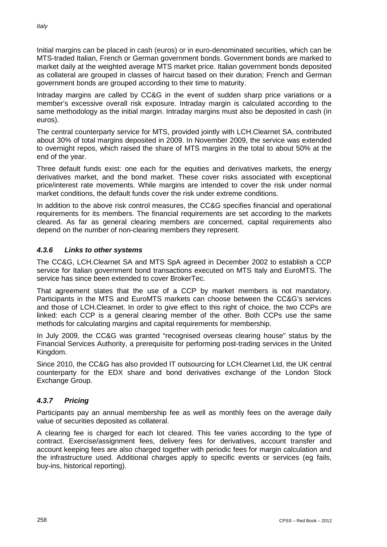Initial margins can be placed in cash (euros) or in euro-denominated securities, which can be MTS-traded Italian, French or German government bonds. Government bonds are marked to market daily at the weighted average MTS market price. Italian government bonds deposited as collateral are grouped in classes of haircut based on their duration; French and German government bonds are grouped according to their time to maturity.

Intraday margins are called by CC&G in the event of sudden sharp price variations or a member's excessive overall risk exposure. Intraday margin is calculated according to the same methodology as the initial margin. Intraday margins must also be deposited in cash (in euros).

The central counterparty service for MTS, provided jointly with LCH.Clearnet SA, contributed about 30% of total margins deposited in 2009. In November 2009, the service was extended to overnight repos, which raised the share of MTS margins in the total to about 50% at the end of the year.

Three default funds exist: one each for the equities and derivatives markets, the energy derivatives market, and the bond market. These cover risks associated with exceptional price/interest rate movements. While margins are intended to cover the risk under normal market conditions, the default funds cover the risk under extreme conditions.

In addition to the above risk control measures, the CC&G specifies financial and operational requirements for its members. The financial requirements are set according to the markets cleared. As far as general clearing members are concerned, capital requirements also depend on the number of non-clearing members they represent.

# *4.3.6 Links to other systems*

The CC&G, LCH.Clearnet SA and MTS SpA agreed in December 2002 to establish a CCP service for Italian government bond transactions executed on MTS Italy and EuroMTS. The service has since been extended to cover BrokerTec.

That agreement states that the use of a CCP by market members is not mandatory. Participants in the MTS and EuroMTS markets can choose between the CC&G's services and those of LCH.Clearnet. In order to give effect to this right of choice, the two CCPs are linked: each CCP is a general clearing member of the other. Both CCPs use the same methods for calculating margins and capital requirements for membership.

In July 2009, the CC&G was granted "recognised overseas clearing house" status by the Financial Services Authority, a prerequisite for performing post-trading services in the United Kingdom.

Since 2010, the CC&G has also provided IT outsourcing for LCH.Clearnet Ltd, the UK central counterparty for the EDX share and bond derivatives exchange of the London Stock Exchange Group.

# *4.3.7 Pricing*

Participants pay an annual membership fee as well as monthly fees on the average daily value of securities deposited as collateral.

A clearing fee is charged for each lot cleared. This fee varies according to the type of contract. Exercise/assignment fees, delivery fees for derivatives, account transfer and account keeping fees are also charged together with periodic fees for margin calculation and the infrastructure used. Additional charges apply to specific events or services (eg fails, buy-ins, historical reporting).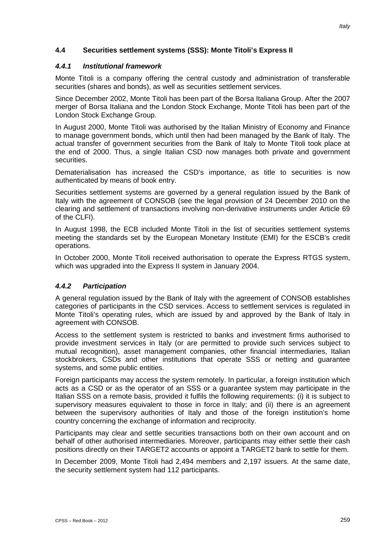### **4.4 Securities settlement systems (SSS): Monte Titoli's Express II**

#### *4.4.1 Institutional framework*

Monte Titoli is a company offering the central custody and administration of transferable securities (shares and bonds), as well as securities settlement services.

Since December 2002, Monte Titoli has been part of the Borsa Italiana Group. After the 2007 merger of Borsa Italiana and the London Stock Exchange, Monte Titoli has been part of the London Stock Exchange Group.

In August 2000, Monte Titoli was authorised by the Italian Ministry of Economy and Finance to manage government bonds, which until then had been managed by the Bank of Italy. The actual transfer of government securities from the Bank of Italy to Monte Titoli took place at the end of 2000. Thus, a single Italian CSD now manages both private and government securities.

Dematerialisation has increased the CSD's importance, as title to securities is now authenticated by means of book entry.

Securities settlement systems are governed by a general regulation issued by the Bank of Italy with the agreement of CONSOB (see the legal provision of 24 December 2010 on the clearing and settlement of transactions involving non-derivative instruments under Article 69 of the CLFI).

In August 1998, the ECB included Monte Titoli in the list of securities settlement systems meeting the standards set by the European Monetary Institute (EMI) for the ESCB's credit operations.

In October 2000, Monte Titoli received authorisation to operate the Express RTGS system, which was upgraded into the Express II system in January 2004.

### *4.4.2 Participation*

A general regulation issued by the Bank of Italy with the agreement of CONSOB establishes categories of participants in the CSD services. Access to settlement services is regulated in Monte Titoli's operating rules, which are issued by and approved by the Bank of Italy in agreement with CONSOB.

Access to the settlement system is restricted to banks and investment firms authorised to provide investment services in Italy (or are permitted to provide such services subject to mutual recognition), asset management companies, other financial intermediaries, Italian stockbrokers, CSDs and other institutions that operate SSS or netting and guarantee systems, and some public entities.

Foreign participants may access the system remotely. In particular, a foreign institution which acts as a CSD or as the operator of an SSS or a guarantee system may participate in the Italian SSS on a remote basis, provided it fulfils the following requirements: (i) it is subject to supervisory measures equivalent to those in force in Italy; and (ii) there is an agreement between the supervisory authorities of Italy and those of the foreign institution's home country concerning the exchange of information and reciprocity.

Participants may clear and settle securities transactions both on their own account and on behalf of other authorised intermediaries. Moreover, participants may either settle their cash positions directly on their TARGET2 accounts or appoint a TARGET2 bank to settle for them.

In December 2009, Monte Titoli had 2,494 members and 2,197 issuers. At the same date, the security settlement system had 112 participants.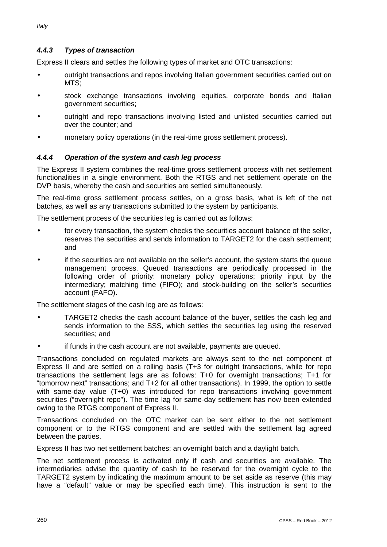# *4.4.3 Types of transaction*

Express II clears and settles the following types of market and OTC transactions:

- outright transactions and repos involving Italian government securities carried out on MTS;
- stock exchange transactions involving equities, corporate bonds and Italian government securities;
- outright and repo transactions involving listed and unlisted securities carried out over the counter; and
- monetary policy operations (in the real-time gross settlement process).

### *4.4.4 Operation of the system and cash leg process*

The Express II system combines the real-time gross settlement process with net settlement functionalities in a single environment. Both the RTGS and net settlement operate on the DVP basis, whereby the cash and securities are settled simultaneously.

The real-time gross settlement process settles, on a gross basis, what is left of the net batches, as well as any transactions submitted to the system by participants.

The settlement process of the securities leg is carried out as follows:

- for every transaction, the system checks the securities account balance of the seller, reserves the securities and sends information to TARGET2 for the cash settlement; and
- if the securities are not available on the seller's account, the system starts the queue management process. Queued transactions are periodically processed in the following order of priority: monetary policy operations; priority input by the intermediary; matching time (FIFO); and stock-building on the seller's securities account (FAFO).

The settlement stages of the cash leg are as follows:

- TARGET2 checks the cash account balance of the buyer, settles the cash leg and sends information to the SSS, which settles the securities leg using the reserved securities; and
- if funds in the cash account are not available, payments are queued.

Transactions concluded on regulated markets are always sent to the net component of Express II and are settled on a rolling basis (T+3 for outright transactions, while for repo transactions the settlement lags are as follows: T+0 for overnight transactions; T+1 for "tomorrow next" transactions; and T+2 for all other transactions). In 1999, the option to settle with same-day value (T+0) was introduced for repo transactions involving government securities ("overnight repo"). The time lag for same-day settlement has now been extended owing to the RTGS component of Express II.

Transactions concluded on the OTC market can be sent either to the net settlement component or to the RTGS component and are settled with the settlement lag agreed between the parties.

Express II has two net settlement batches: an overnight batch and a daylight batch.

The net settlement process is activated only if cash and securities are available. The intermediaries advise the quantity of cash to be reserved for the overnight cycle to the TARGET2 system by indicating the maximum amount to be set aside as reserve (this may have a "default" value or may be specified each time). This instruction is sent to the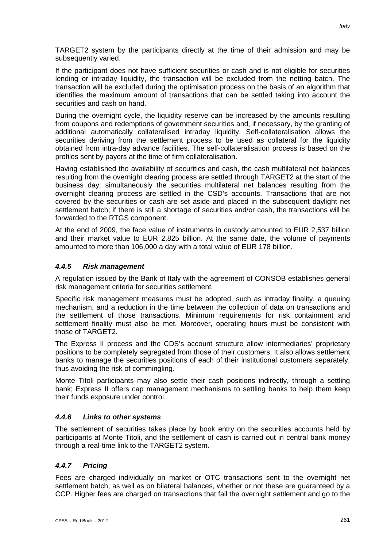TARGET2 system by the participants directly at the time of their admission and may be subsequently varied.

If the participant does not have sufficient securities or cash and is not eligible for securities lending or intraday liquidity, the transaction will be excluded from the netting batch. The transaction will be excluded during the optimisation process on the basis of an algorithm that identifies the maximum amount of transactions that can be settled taking into account the securities and cash on hand.

During the overnight cycle, the liquidity reserve can be increased by the amounts resulting from coupons and redemptions of government securities and, if necessary, by the granting of additional automatically collateralised intraday liquidity. Self-collateralisation allows the securities deriving from the settlement process to be used as collateral for the liquidity obtained from intra-day advance facilities. The self-collateralisation process is based on the profiles sent by payers at the time of firm collateralisation.

Having established the availability of securities and cash, the cash multilateral net balances resulting from the overnight clearing process are settled through TARGET2 at the start of the business day; simultaneously the securities multilateral net balances resulting from the overnight clearing process are settled in the CSD's accounts. Transactions that are not covered by the securities or cash are set aside and placed in the subsequent daylight net settlement batch; if there is still a shortage of securities and/or cash, the transactions will be forwarded to the RTGS component.

At the end of 2009, the face value of instruments in custody amounted to EUR 2,537 billion and their market value to EUR 2,825 billion. At the same date, the volume of payments amounted to more than 106,000 a day with a total value of EUR 178 billion.

# *4.4.5 Risk management*

A regulation issued by the Bank of Italy with the agreement of CONSOB establishes general risk management criteria for securities settlement.

Specific risk management measures must be adopted, such as intraday finality, a queuing mechanism, and a reduction in the time between the collection of data on transactions and the settlement of those transactions. Minimum requirements for risk containment and settlement finality must also be met. Moreover, operating hours must be consistent with those of TARGET2.

The Express II process and the CDS's account structure allow intermediaries' proprietary positions to be completely segregated from those of their customers. It also allows settlement banks to manage the securities positions of each of their institutional customers separately, thus avoiding the risk of commingling.

Monte Titoli participants may also settle their cash positions indirectly, through a settling bank; Express II offers cap management mechanisms to settling banks to help them keep their funds exposure under control.

### *4.4.6 Links to other systems*

The settlement of securities takes place by book entry on the securities accounts held by participants at Monte Titoli, and the settlement of cash is carried out in central bank money through a real-time link to the TARGET2 system.

# *4.4.7 Pricing*

Fees are charged individually on market or OTC transactions sent to the overnight net settlement batch, as well as on bilateral balances, whether or not these are guaranteed by a CCP. Higher fees are charged on transactions that fail the overnight settlement and go to the